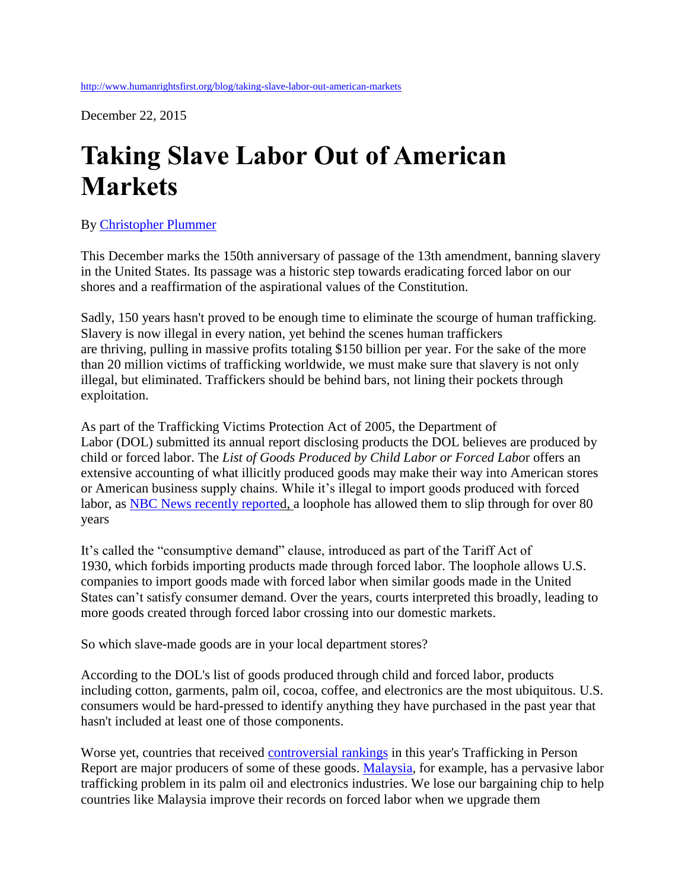December 22, 2015

## **Taking Slave Labor Out of American Markets**

## By [Christopher Plummer](http://www.humanrightsfirst.org/biography/christopher-plummer)

This December marks the 150th anniversary of passage of the 13th amendment, banning slavery in the United States. Its passage was a historic step towards eradicating forced labor on our shores and a reaffirmation of the aspirational values of the Constitution.

Sadly, 150 years hasn't proved to be enough time to eliminate the scourge of human trafficking. Slavery is now illegal in every nation, yet behind the scenes human traffickers are thriving, pulling in massive profits totaling \$150 billion per year. For the sake of the more than 20 million victims of trafficking worldwide, we must make sure that slavery is not only illegal, but eliminated. Traffickers should be behind bars, not lining their pockets through exploitation.

As part of the Trafficking Victims Protection Act of 2005, the Department of Labor (DOL) submitted its annual report disclosing products the DOL believes are produced by child or forced labor. The *List of Goods Produced by Child Labor or Forced Labo*r offers an extensive accounting of what illicitly produced goods may make their way into American stores or American business supply chains. While it's illegal to import goods produced with forced labor, as [NBC News recently reported](http://www.nbcnews.com/news/us-news/loophole-law-allows-some-holiday-goods-made-forced-labor-n469111), a loophole has allowed them to slip through for over 80 years

It's called the "consumptive demand" clause, introduced as part of the Tariff Act of 1930, which forbids importing products made through forced labor. The loophole allows U.S. companies to import goods made with forced labor when similar goods made in the United States can't satisfy consumer demand. Over the years, courts interpreted this broadly, leading to more goods created through forced labor crossing into our domestic markets.

So which slave-made goods are in your local department stores?

According to the DOL's list of goods produced through child and forced labor, products including cotton, garments, palm oil, cocoa, coffee, and electronics are the most ubiquitous. U.S. consumers would be hard-pressed to identify anything they have purchased in the past year that hasn't included at least one of those components.

Worse yet, countries that received [controversial rankings](http://www.humanrightsfirst.org/blog/cuba-uzbekistan-politics-tip-report) in this year's Trafficking in Person Report are major producers of some of these goods. [Malaysia,](http://www.humanrightsfirst.org/blog/analyzing-malaysia-s-upgraded-tip-report-ranking) for example, has a pervasive labor trafficking problem in its palm oil and electronics industries. We lose our bargaining chip to help countries like Malaysia improve their records on forced labor when we upgrade them